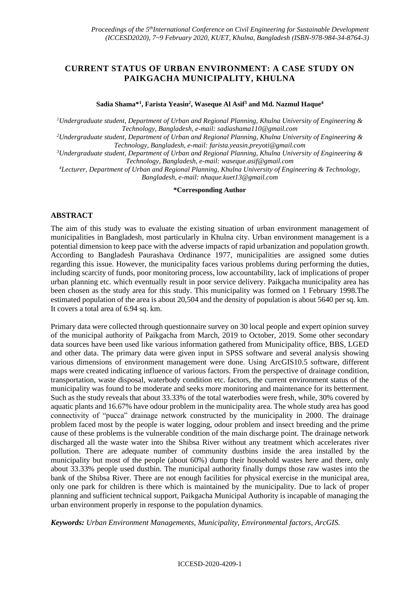## **CURRENT STATUS OF URBAN ENVIRONMENT: A CASE STUDY ON PAIKGACHA MUNICIPALITY, KHULNA**

**Sadia Shama\*<sup>1</sup> , Farista Yeasin<sup>2</sup> , Waseque Al Asif<sup>3</sup> and Md. Nazmul Haque<sup>4</sup>**

*<sup>1</sup>Undergraduate student, Department of Urban and Regional Planning, Khulna University of Engineering & Technology, Bangladesh, e-mail: [sadiashama110@gmail.com](mailto:sadiashama110@gmail.com)*

*<sup>2</sup>Undergraduate student, Department of Urban and Regional Planning, Khulna University of Engineering & Technology, Bangladesh, e-mail: [farista.yeasin.preyoti@gmail.com](mailto:farista.yeasin.preyoti@gmail.com)*

*<sup>3</sup>Undergraduate student, Department of Urban and Regional Planning, Khulna University of Engineering & Technology, Bangladesh, e-mail: [waseque.asif@gmail.com](mailto:waseque.asif@gmail.com)*

*<sup>4</sup>Lecturer, Department of Urban and Regional Planning, Khulna University of Engineering & Technology, Bangladesh, e-mail[: nhaque.kuet13@gmail.com](mailto:nhaque.kuet13@gmail.com)*

**\*Corresponding Author**

## **ABSTRACT**

The aim of this study was to evaluate the existing situation of urban environment management of municipalities in Bangladesh, most particularly in Khulna city. Urban environment management is a potential dimension to keep pace with the adverse impacts of rapid urbanization and population growth. According to Bangladesh Paurashava Ordinance 1977, municipalities are assigned some duties regarding this issue. However, the municipality faces various problems during performing the duties, including scarcity of funds, poor monitoring process, low accountability, lack of implications of proper urban planning etc. which eventually result in poor service delivery. Paikgacha municipality area has been chosen as the study area for this study. This municipality was formed on 1 February 1998.The estimated population of the area is about 20,504 and the density of population is about 5640 per sq. km. It covers a total area of 6.94 sq. km.

Primary data were collected through questionnaire survey on 30 local people and expert opinion survey of the municipal authority of Paikgacha from March, 2019 to October, 2019. Some other secondary data sources have been used like various information gathered from Municipality office, BBS, LGED and other data. The primary data were given input in SPSS software and several analysis showing various dimensions of environment management were done. Using ArcGIS10.5 software, different maps were created indicating influence of various factors. From the perspective of drainage condition, transportation, waste disposal, waterbody condition etc. factors, the current environment status of the municipality was found to be moderate and seeks more monitoring and maintenance for its betterment. Such as the study reveals that about 33.33% of the total waterbodies were fresh, while, 30% covered by aquatic plants and 16.67% have odour problem in the municipality area. The whole study area has good connectivity of "pucca" drainage network constructed by the municipality in 2000. The drainage problem faced most by the people is water logging, odour problem and insect breeding and the prime cause of these problems is the vulnerable condition of the main discharge point. The drainage network discharged all the waste water into the Shibsa River without any treatment which accelerates river pollution. There are adequate number of community dustbins inside the area installed by the municipality but most of the people (about 60%) dump their household wastes here and there, only about 33.33% people used dustbin. The municipal authority finally dumps those raw wastes into the bank of the Shibsa River. There are not enough facilities for physical exercise in the municipal area, only one park for children is there which is maintained by the municipality. Due to lack of proper planning and sufficient technical support, Paikgacha Municipal Authority is incapable of managing the urban environment properly in response to the population dynamics.

*Keywords: Urban Environment Managements, Municipality, Environmental factors, ArcGIS.*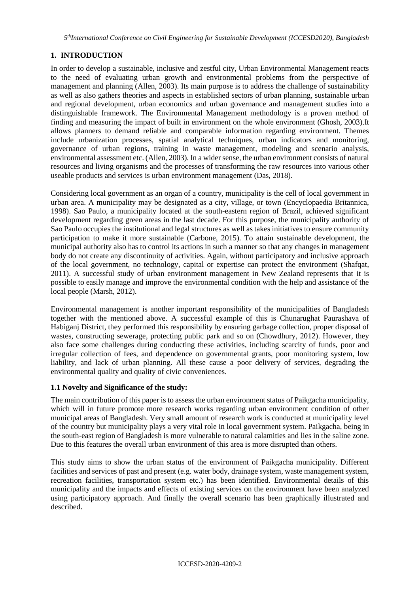## **1. INTRODUCTION**

In order to develop a sustainable, inclusive and zestful city, Urban Environmental Management reacts to the need of evaluating urban growth and environmental problems from the perspective of management and planning (Allen, 2003). Its main purpose is to address the challenge of sustainability as well as also gathers theories and aspects in established sectors of urban planning, sustainable urban and regional development, urban economics and urban governance and management studies into a distinguishable framework. The Environmental Management methodology is a proven method of finding and measuring the impact of built in environment on the whole environment (Ghosh, 2003).It allows planners to demand reliable and comparable information regarding environment. Themes include urbanization processes, spatial analytical techniques, urban indicators and monitoring, governance of urban regions, training in waste management, modeling and scenario analysis, environmental assessment etc. (Allen, 2003). In a wider sense, the urban environment consists of natural resources and living organisms and the processes of transforming the raw resources into various other useable products and services is urban environment management (Das, 2018).

Considering local government as an organ of a country, municipality is the cell of local government in urban area. A municipality may be designated as a city, village, or town (Encyclopaedia Britannica, 1998). Sao Paulo, a municipality located at the south-eastern region of Brazil, achieved significant development regarding green areas in the last decade. For this purpose, the municipality authority of Sao Paulo occupies the institutional and legal structures as well as takes initiatives to ensure community participation to make it more sustainable (Carbone, 2015). To attain sustainable development, the municipal authority also has to control its actions in such a manner so that any changes in management body do not create any discontinuity of activities. Again, without participatory and inclusive approach of the local government, no technology, capital or expertise can protect the environment (Shafqat, 2011). A successful study of urban environment management in New Zealand represents that it is possible to easily manage and improve the environmental condition with the help and assistance of the local people (Marsh, 2012).

Environmental management is another important responsibility of the municipalities of Bangladesh together with the mentioned above. A successful example of this is Chunarughat Paurashava of Habiganj District, they performed this responsibility by ensuring garbage collection, proper disposal of wastes, constructing sewerage, protecting public park and so on (Chowdhury, 2012). However, they also face some challenges during conducting these activities, including scarcity of funds, poor and irregular collection of fees, and dependence on governmental grants, poor monitoring system, low liability, and lack of urban planning. All these cause a poor delivery of services, degrading the environmental quality and quality of civic conveniences.

### **1.1 Novelty and Significance of the study:**

The main contribution of this paper is to assess the urban environment status of Paikgacha municipality, which will in future promote more research works regarding urban environment condition of other municipal areas of Bangladesh. Very small amount of research work is conducted at municipality level of the country but municipality plays a very vital role in local government system. Paikgacha, being in the south-east region of Bangladesh is more vulnerable to natural calamities and lies in the saline zone. Due to this features the overall urban environment of this area is more disrupted than others.

This study aims to show the urban status of the environment of Paikgacha municipality. Different facilities and services of past and present (e.g. water body, drainage system, waste management system, recreation facilities, transportation system etc.) has been identified. Environmental details of this municipality and the impacts and effects of existing services on the environment have been analyzed using participatory approach. And finally the overall scenario has been graphically illustrated and described.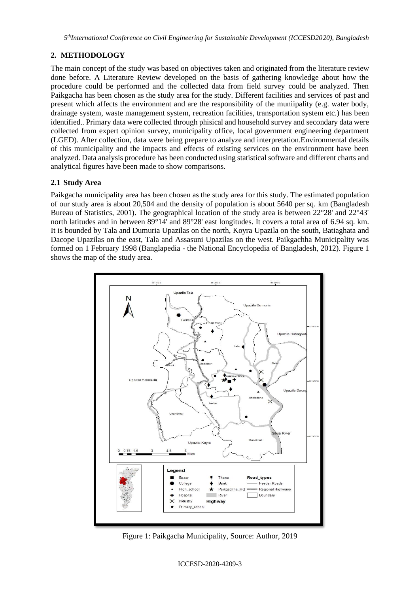# **2. METHODOLOGY**

The main concept of the study was based on objectives taken and originated from the literature review done before. A Literature Review developed on the basis of gathering knowledge about how the procedure could be performed and the collected data from field survey could be analyzed. Then Paikgacha has been chosen as the study area for the study. Different facilities and services of past and present which affects the environment and are the responsibility of the muniipality (e.g. water body, drainage system, waste management system, recreation facilities, transportation system etc.) has been identified.. Primary data were collected through phisical and household survey and secondary data were collected from expert opinion survey, municipality office, local government engineering department (LGED). After collection, data were being prepare to analyze and interpretation.Environmental details of this municipality and the impacts and effects of existing services on the environment have been analyzed. Data analysis procedure has been conducted using statistical software and different charts and analytical figures have been made to show comparisons.

## **2.1 Study Area**

Paikgacha municipality area has been chosen as the study area for this study. The estimated population of our study area is about 20,504 and the density of population is about 5640 per sq. km (Bangladesh Bureau of Statistics, 2001). The geographical location of the study area is between 22°28' and 22°43' north latitudes and in between 89°14' and 89°28' east longitudes. It covers a total area of 6.94 sq. km. It is bounded by Tala and Dumuria Upazilas on the north, Koyra Upazila on the south, Batiaghata and Dacope Upazilas on the east, Tala and Assasuni Upazilas on the west. Paikgachha Municipality was formed on 1 February 1998 (Banglapedia - the National Encyclopedia of Bangladesh, 2012). Figure 1 shows the map of the study area.



Figure 1: Paikgacha Municipality, Source: Author, 2019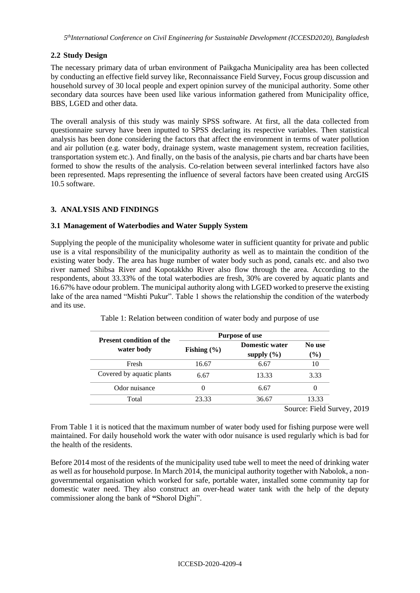## **2.2 Study Design**

The necessary primary data of urban environment of Paikgacha Municipality area has been collected by conducting an effective field survey like, Reconnaissance Field Survey, Focus group discussion and household survey of 30 local people and expert opinion survey of the municipal authority. Some other secondary data sources have been used like various information gathered from Municipality office, BBS, LGED and other data.

The overall analysis of this study was mainly SPSS software. At first, all the data collected from questionnaire survey have been inputted to SPSS declaring its respective variables. Then statistical analysis has been done considering the factors that affect the environment in terms of water pollution and air pollution (e.g. water body, drainage system, waste management system, recreation facilities, transportation system etc.). And finally, on the basis of the analysis, pie charts and bar charts have been formed to show the results of the analysis. Co-relation between several interlinked factors have also been represented. Maps representing the influence of several factors have been created using ArcGIS 10.5 software.

## **3. ANALYSIS AND FINDINGS**

### **3.1 Management of Waterbodies and Water Supply System**

Supplying the people of the municipality wholesome water in sufficient quantity for private and public use is a vital responsibility of the municipality authority as well as to maintain the condition of the existing water body. The area has huge number of water body such as pond, canals etc. and also two river named Shibsa River and Kopotakkho River also flow through the area. According to the respondents, about 33.33% of the total waterbodies are fresh, 30% are covered by aquatic plants and 16.67% have odour problem. The municipal authority along with LGED worked to preserve the existing lake of the area named "Mishti Pukur". Table 1 shows the relationship the condition of the waterbody and its use.

| <b>Present condition of the</b> | <b>Purpose of use</b>                                      |       |                  |  |
|---------------------------------|------------------------------------------------------------|-------|------------------|--|
| water body                      | <b>Domestic water</b><br>Fishing $(\% )$<br>supply $(\% )$ |       | No use<br>$(\%)$ |  |
| Fresh                           | 16.67                                                      | 6.67  | 10               |  |
| Covered by aquatic plants       | 6.67                                                       | 13.33 | 3.33             |  |
| Odor nuisance                   |                                                            | 6.67  | $\theta$         |  |
| Total                           | 23.33                                                      | 36.67 | 13.33            |  |

Table 1: Relation between condition of water body and purpose of use

Source: Field Survey, 2019

From Table 1 it is noticed that the maximum number of water body used for fishing purpose were well maintained. For daily household work the water with odor nuisance is used regularly which is bad for the health of the residents.

Before 2014 most of the residents of the municipality used tube well to meet the need of drinking water as well as for household purpose. In March 2014, the municipal authority together with Nabolok, a nongovernmental organisation which worked for safe, portable water, installed some community tap for domestic water need. They also construct an over-head water tank with the help of the deputy commissioner along the bank of **"**Shorol Dighi".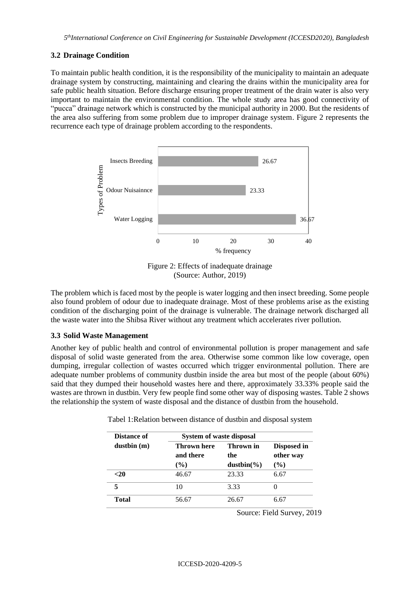#### **3.2 Drainage Condition**

To maintain public health condition, it is the responsibility of the municipality to maintain an adequate drainage system by constructing, maintaining and clearing the drains within the municipality area for safe public health situation. Before discharge ensuring proper treatment of the drain water is also very important to maintain the environmental condition. The whole study area has good connectivity of "pucca" drainage network which is constructed by the municipal authority in 2000. But the residents of the area also suffering from some problem due to improper drainage system. Figure 2 represents the recurrence each type of drainage problem according to the respondents.



Figure 2: Effects of inadequate drainage (Source: Author, 2019)

The problem which is faced most by the people is water logging and then insect breeding. Some people also found problem of odour due to inadequate drainage. Most of these problems arise as the existing condition of the discharging point of the drainage is vulnerable. The drainage network discharged all the waste water into the Shibsa River without any treatment which accelerates river pollution.

### **3.3 Solid Waste Management**

Another key of public health and control of environmental pollution is proper management and safe disposal of solid waste generated from the area. Otherwise some common like low coverage, open dumping, irregular collection of wastes occurred which trigger environmental pollution. There are adequate number problems of community dustbin inside the area but most of the people (about 60%) said that they dumped their household wastes here and there, approximately 33.33% people said the wastes are thrown in dustbin. Very few people find some other way of disposing wastes. Table 2 shows the relationship the system of waste disposal and the distance of dustbin from the household.

| Distance of | System of waste disposal           |                                   |                                    |  |
|-------------|------------------------------------|-----------------------------------|------------------------------------|--|
| dustbin(m)  | Thrown here<br>and there<br>$($ %) | Thrown in<br>the<br>$dustbin(\%)$ | Disposed in<br>other way<br>$($ %) |  |
| -20         | 46.67                              | 23.33                             | 6.67                               |  |
| 5           | 10                                 | 3.33                              |                                    |  |
| Total       | 56.67                              | 26.67                             | 6.67                               |  |

Tabel 1:Relation between distance of dustbin and disposal system

Source: Field Survey, 2019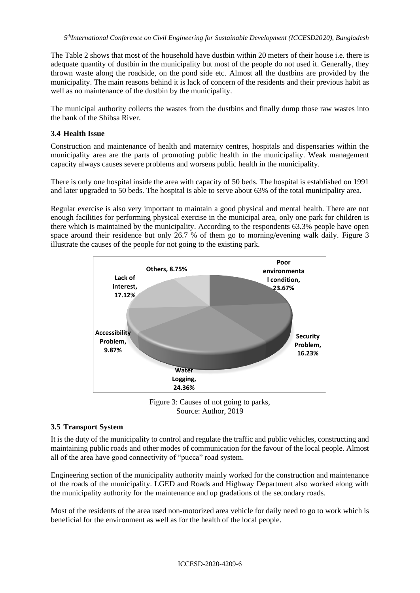The Table 2 shows that most of the household have dustbin within 20 meters of their house i.e. there is adequate quantity of dustbin in the municipality but most of the people do not used it. Generally, they thrown waste along the roadside, on the pond side etc. Almost all the dustbins are provided by the municipality. The main reasons behind it is lack of concern of the residents and their previous habit as well as no maintenance of the dustbin by the municipality.

The municipal authority collects the wastes from the dustbins and finally dump those raw wastes into the bank of the Shibsa River.

### **3.4 Health Issue**

Construction and maintenance of health and maternity centres, hospitals and dispensaries within the municipality area are the parts of promoting public health in the municipality. Weak management capacity always causes severe problems and worsens public health in the municipality.

There is only one hospital inside the area with capacity of 50 beds. The hospital is established on 1991 and later upgraded to 50 beds. The hospital is able to serve about 63% of the total municipality area.

Regular exercise is also very important to maintain a good physical and mental health. There are not enough facilities for performing physical exercise in the municipal area, only one park for children is there which is maintained by the municipality. According to the respondents 63.3% people have open space around their residence but only 26.7 % of them go to morning/evening walk daily. Figure 3 illustrate the causes of the people for not going to the existing park.



Figure 3: Causes of not going to parks, Source: Author, 2019

### **3.5 Transport System**

It is the duty of the municipality to control and regulate the traffic and public vehicles, constructing and maintaining public roads and other modes of communication for the favour of the local people. Almost all of the area have good connectivity of "pucca" road system.

Engineering section of the municipality authority mainly worked for the construction and maintenance of the roads of the municipality. LGED and Roads and Highway Department also worked along with the municipality authority for the maintenance and up gradations of the secondary roads.

Most of the residents of the area used non-motorized area vehicle for daily need to go to work which is beneficial for the environment as well as for the health of the local people.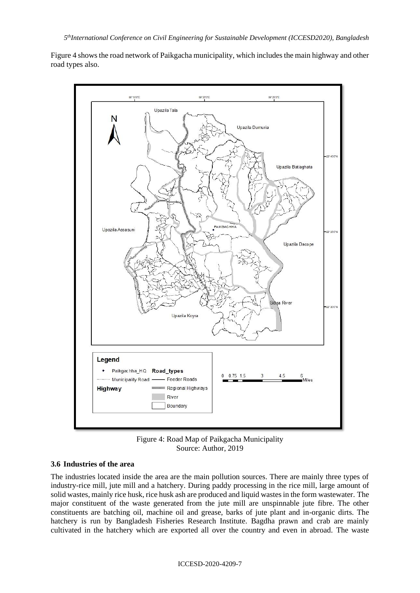Figure 4 shows the road network of Paikgacha municipality, which includes the main highway and other road types also.



Figure 4: Road Map of Paikgacha Municipality Source: Author, 2019

### **3.6 Industries of the area**

The industries located inside the area are the main pollution sources. There are mainly three types of industry-rice mill, jute mill and a hatchery. During paddy processing in the rice mill, large amount of solid wastes, mainly rice husk, rice husk ash are produced and liquid wastes in the form wastewater. The major constituent of the waste generated from the jute mill are unspinnable jute fibre. The other constituents are batching oil, machine oil and grease, barks of jute plant and in-organic dirts. The hatchery is run by Bangladesh Fisheries Research Institute. Bagdha prawn and crab are mainly cultivated in the hatchery which are exported all over the country and even in abroad. The waste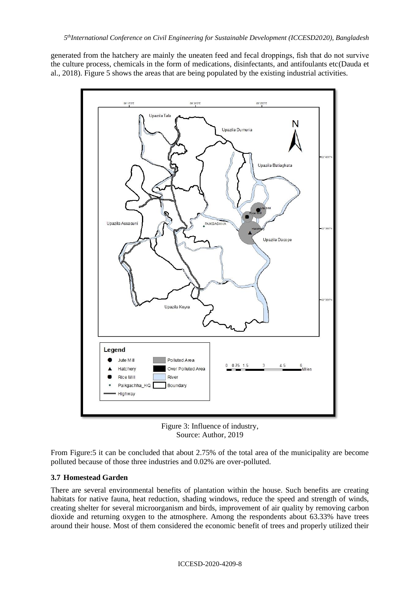generated from the hatchery are mainly the uneaten feed and fecal droppings, fish that do not survive the culture process, chemicals in the form of medications, disinfectants, and antifoulants etc(Dauda et al., 2018). Figure 5 shows the areas that are being populated by the existing industrial activities.



Figure 3: Influence of industry, Source: Author, 2019

From Figure:5 it can be concluded that about 2.75% of the total area of the municipality are become polluted because of those three industries and 0.02% are over-polluted.

### **3.7 Homestead Garden**

There are several environmental benefits of plantation within the house. Such benefits are creating habitats for native fauna, heat reduction, shading windows, reduce the speed and strength of winds, creating shelter for several microorganism and birds, improvement of air quality by removing carbon dioxide and returning oxygen to the atmosphere. Among the respondents about 63.33% have trees around their house. Most of them considered the economic benefit of trees and properly utilized their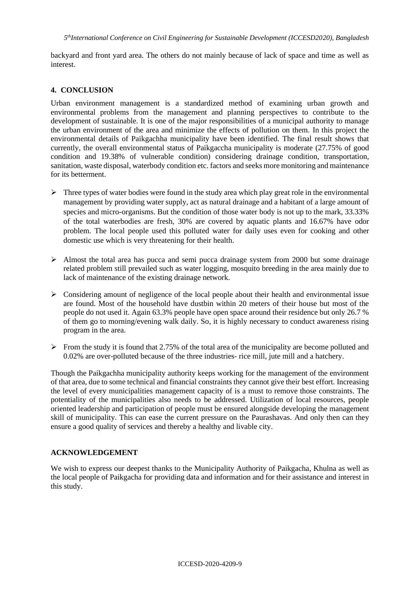backyard and front yard area. The others do not mainly because of lack of space and time as well as interest.

#### **4. CONCLUSION**

Urban environment management is a standardized method of examining urban growth and environmental problems from the management and planning perspectives to contribute to the development of sustainable. It is one of the major responsibilities of a municipal authority to manage the urban environment of the area and minimize the effects of pollution on them. In this project the environmental details of Paikgachha municipality have been identified. The final result shows that currently, the overall environmental status of Paikgaccha municipality is moderate (27.75% of good condition and 19.38% of vulnerable condition) considering drainage condition, transportation, sanitation, waste disposal, waterbody condition etc. factors and seeks more monitoring and maintenance for its betterment.

- $\triangleright$  Three types of water bodies were found in the study area which play great role in the environmental management by providing water supply, act as natural drainage and a habitant of a large amount of species and micro-organisms. But the condition of those water body is not up to the mark, 33.33% of the total waterbodies are fresh, 30% are covered by aquatic plants and 16.67% have odor problem. The local people used this polluted water for daily uses even for cooking and other domestic use which is very threatening for their health.
- $\triangleright$  Almost the total area has pucca and semi pucca drainage system from 2000 but some drainage related problem still prevailed such as water logging, mosquito breeding in the area mainly due to lack of maintenance of the existing drainage network.
- $\triangleright$  Considering amount of negligence of the local people about their health and environmental issue are found. Most of the household have dustbin within 20 meters of their house but most of the people do not used it. Again 63.3% people have open space around their residence but only 26.7 % of them go to morning/evening walk daily. So, it is highly necessary to conduct awareness rising program in the area.
- $\triangleright$  From the study it is found that 2.75% of the total area of the municipality are become polluted and 0.02% are over-polluted because of the three industries- rice mill, jute mill and a hatchery.

Though the Paikgachha municipality authority keeps working for the management of the environment of that area, due to some technical and financial constraints they cannot give their best effort. Increasing the level of every municipalities management capacity of is a must to remove those constraints. The potentiality of the municipalities also needs to be addressed. Utilization of local resources, people oriented leadership and participation of people must be ensured alongside developing the management skill of municipality. This can ease the current pressure on the Paurashavas. And only then can they ensure a good quality of services and thereby a healthy and livable city.

#### **ACKNOWLEDGEMENT**

We wish to express our deepest thanks to the Municipality Authority of Paikgacha, Khulna as well as the local people of Paikgacha for providing data and information and for their assistance and interest in this study.